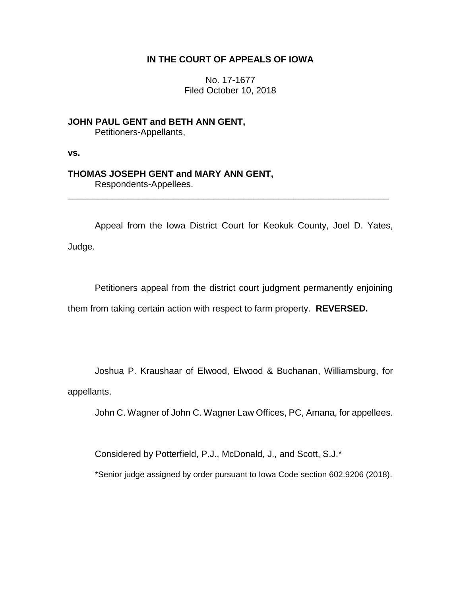## **IN THE COURT OF APPEALS OF IOWA**

No. 17-1677 Filed October 10, 2018

**JOHN PAUL GENT and BETH ANN GENT,** Petitioners-Appellants,

**vs.**

## **THOMAS JOSEPH GENT and MARY ANN GENT,**

Respondents-Appellees.

Appeal from the Iowa District Court for Keokuk County, Joel D. Yates, Judge.

\_\_\_\_\_\_\_\_\_\_\_\_\_\_\_\_\_\_\_\_\_\_\_\_\_\_\_\_\_\_\_\_\_\_\_\_\_\_\_\_\_\_\_\_\_\_\_\_\_\_\_\_\_\_\_\_\_\_\_\_\_\_\_\_

Petitioners appeal from the district court judgment permanently enjoining them from taking certain action with respect to farm property. **REVERSED.**

Joshua P. Kraushaar of Elwood, Elwood & Buchanan, Williamsburg, for appellants.

John C. Wagner of John C. Wagner Law Offices, PC, Amana, for appellees.

Considered by Potterfield, P.J., McDonald, J., and Scott, S.J.\*

\*Senior judge assigned by order pursuant to Iowa Code section 602.9206 (2018).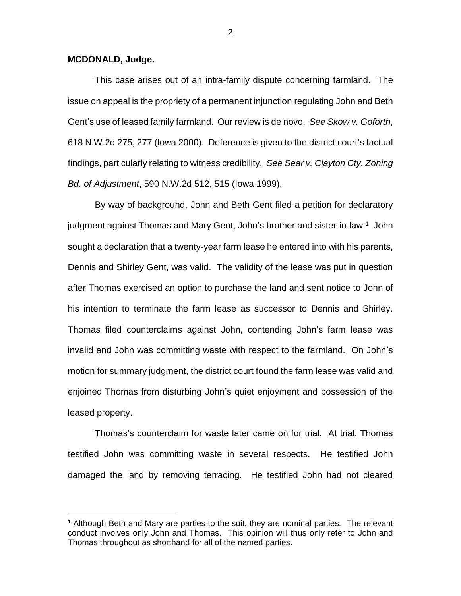## **MCDONALD, Judge.**

 $\overline{a}$ 

This case arises out of an intra-family dispute concerning farmland. The issue on appeal is the propriety of a permanent injunction regulating John and Beth Gent's use of leased family farmland. Our review is de novo. *See Skow v. Goforth*, 618 N.W.2d 275, 277 (Iowa 2000). Deference is given to the district court's factual findings, particularly relating to witness credibility. *See Sear v. Clayton Cty. Zoning Bd. of Adjustment*, 590 N.W.2d 512, 515 (Iowa 1999).

By way of background, John and Beth Gent filed a petition for declaratory judgment against Thomas and Mary Gent, John's brother and sister-in-law.<sup>1</sup> John sought a declaration that a twenty-year farm lease he entered into with his parents, Dennis and Shirley Gent, was valid. The validity of the lease was put in question after Thomas exercised an option to purchase the land and sent notice to John of his intention to terminate the farm lease as successor to Dennis and Shirley. Thomas filed counterclaims against John, contending John's farm lease was invalid and John was committing waste with respect to the farmland. On John's motion for summary judgment, the district court found the farm lease was valid and enjoined Thomas from disturbing John's quiet enjoyment and possession of the leased property.

Thomas's counterclaim for waste later came on for trial. At trial, Thomas testified John was committing waste in several respects. He testified John damaged the land by removing terracing. He testified John had not cleared

2

 $<sup>1</sup>$  Although Beth and Mary are parties to the suit, they are nominal parties. The relevant</sup> conduct involves only John and Thomas. This opinion will thus only refer to John and Thomas throughout as shorthand for all of the named parties.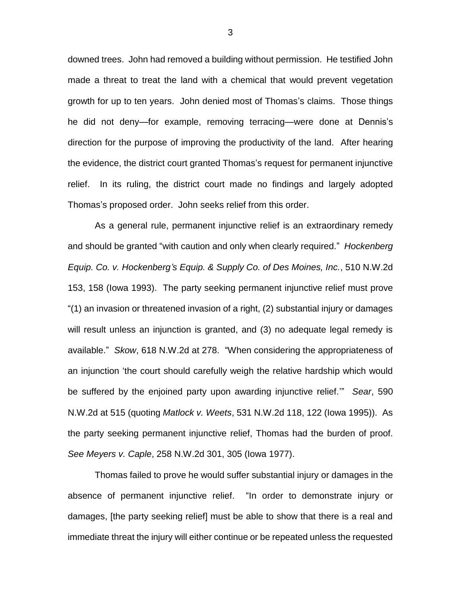downed trees. John had removed a building without permission. He testified John made a threat to treat the land with a chemical that would prevent vegetation growth for up to ten years. John denied most of Thomas's claims. Those things he did not deny—for example, removing terracing—were done at Dennis's direction for the purpose of improving the productivity of the land. After hearing the evidence, the district court granted Thomas's request for permanent injunctive relief. In its ruling, the district court made no findings and largely adopted Thomas's proposed order. John seeks relief from this order.

As a general rule, permanent injunctive relief is an extraordinary remedy and should be granted "with caution and only when clearly required." *Hockenberg Equip. Co. v. Hockenberg's Equip. & Supply Co. of Des Moines, Inc.*, 510 N.W.2d 153, 158 (Iowa 1993). The party seeking permanent injunctive relief must prove "(1) an invasion or threatened invasion of a right, (2) substantial injury or damages will result unless an injunction is granted, and (3) no adequate legal remedy is available." *Skow*, 618 N.W.2d at 278. "When considering the appropriateness of an injunction 'the court should carefully weigh the relative hardship which would be suffered by the enjoined party upon awarding injunctive relief.'" *Sear*, 590 N.W.2d at 515 (quoting *Matlock v. Weets*, 531 N.W.2d 118, 122 (Iowa 1995)). As the party seeking permanent injunctive relief, Thomas had the burden of proof. *See Meyers v. Caple*, 258 N.W.2d 301, 305 (Iowa 1977).

Thomas failed to prove he would suffer substantial injury or damages in the absence of permanent injunctive relief. "In order to demonstrate injury or damages, [the party seeking relief] must be able to show that there is a real and immediate threat the injury will either continue or be repeated unless the requested

3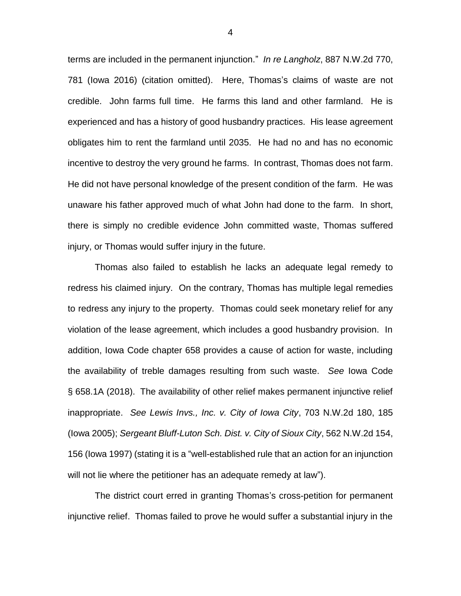terms are included in the permanent injunction." *In re Langholz*, 887 N.W.2d 770, 781 (Iowa 2016) (citation omitted). Here, Thomas's claims of waste are not credible. John farms full time. He farms this land and other farmland. He is experienced and has a history of good husbandry practices. His lease agreement obligates him to rent the farmland until 2035. He had no and has no economic incentive to destroy the very ground he farms. In contrast, Thomas does not farm. He did not have personal knowledge of the present condition of the farm. He was unaware his father approved much of what John had done to the farm. In short, there is simply no credible evidence John committed waste, Thomas suffered injury, or Thomas would suffer injury in the future.

Thomas also failed to establish he lacks an adequate legal remedy to redress his claimed injury. On the contrary, Thomas has multiple legal remedies to redress any injury to the property. Thomas could seek monetary relief for any violation of the lease agreement, which includes a good husbandry provision. In addition, Iowa Code chapter 658 provides a cause of action for waste, including the availability of treble damages resulting from such waste. *See* Iowa Code § 658.1A (2018). The availability of other relief makes permanent injunctive relief inappropriate. *See Lewis Invs., Inc. v. City of Iowa City*, 703 N.W.2d 180, 185 (Iowa 2005); *Sergeant Bluff-Luton Sch. Dist. v. City of Sioux City*, 562 N.W.2d 154, 156 (Iowa 1997) (stating it is a "well-established rule that an action for an injunction will not lie where the petitioner has an adequate remedy at law").

The district court erred in granting Thomas's cross-petition for permanent injunctive relief. Thomas failed to prove he would suffer a substantial injury in the

4